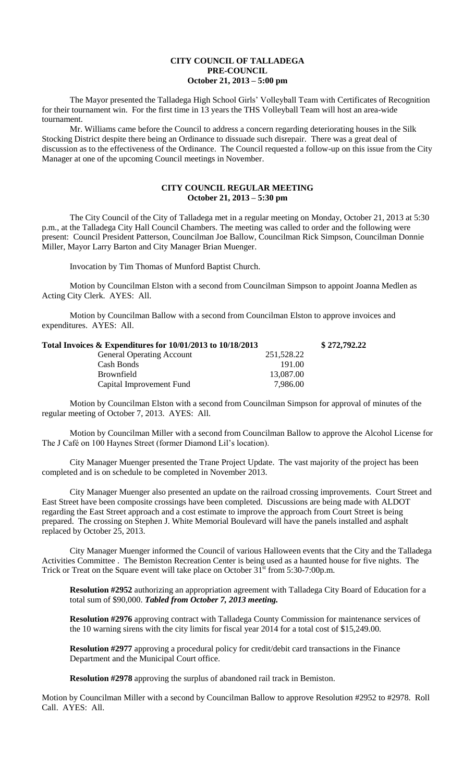## **CITY COUNCIL OF TALLADEGA PRE-COUNCIL October 21, 2013 – 5:00 pm**

The Mayor presented the Talladega High School Girls' Volleyball Team with Certificates of Recognition for their tournament win. For the first time in 13 years the THS Volleyball Team will host an area-wide tournament.

Mr. Williams came before the Council to address a concern regarding deteriorating houses in the Silk Stocking District despite there being an Ordinance to dissuade such disrepair. There was a great deal of discussion as to the effectiveness of the Ordinance. The Council requested a follow-up on this issue from the City Manager at one of the upcoming Council meetings in November.

## **CITY COUNCIL REGULAR MEETING October 21, 2013 – 5:30 pm**

The City Council of the City of Talladega met in a regular meeting on Monday, October 21, 2013 at 5:30 p.m., at the Talladega City Hall Council Chambers. The meeting was called to order and the following were present: Council President Patterson, Councilman Joe Ballow, Councilman Rick Simpson, Councilman Donnie Miller, Mayor Larry Barton and City Manager Brian Muenger.

Invocation by Tim Thomas of Munford Baptist Church.

Motion by Councilman Elston with a second from Councilman Simpson to appoint Joanna Medlen as Acting City Clerk. AYES: All.

Motion by Councilman Ballow with a second from Councilman Elston to approve invoices and expenditures. AYES: All.

| Total Invoices & Expenditures for 10/01/2013 to 10/18/2013 |            | \$272,792.22 |
|------------------------------------------------------------|------------|--------------|
| <b>General Operating Account</b>                           | 251,528.22 |              |
| Cash Bonds                                                 | 191.00     |              |
| <b>Brownfield</b>                                          | 13,087.00  |              |
| Capital Improvement Fund                                   | 7.986.00   |              |

Motion by Councilman Elston with a second from Councilman Simpson for approval of minutes of the regular meeting of October 7, 2013. AYES: All.

Motion by Councilman Miller with a second from Councilman Ballow to approve the Alcohol License for The J Café on 100 Haynes Street (former Diamond Lil's location).

City Manager Muenger presented the Trane Project Update. The vast majority of the project has been completed and is on schedule to be completed in November 2013.

City Manager Muenger also presented an update on the railroad crossing improvements. Court Street and East Street have been composite crossings have been completed. Discussions are being made with ALDOT regarding the East Street approach and a cost estimate to improve the approach from Court Street is being prepared. The crossing on Stephen J. White Memorial Boulevard will have the panels installed and asphalt replaced by October 25, 2013.

City Manager Muenger informed the Council of various Halloween events that the City and the Talladega Activities Committee . The Bemiston Recreation Center is being used as a haunted house for five nights. The Trick or Treat on the Square event will take place on October  $31<sup>st</sup>$  from 5:30-7:00p.m.

**Resolution #2952** authorizing an appropriation agreement with Talladega City Board of Education for a total sum of \$90,000. *Tabled from October 7, 2013 meeting.*

**Resolution #2976** approving contract with Talladega County Commission for maintenance services of the 10 warning sirens with the city limits for fiscal year 2014 for a total cost of \$15,249.00.

**Resolution #2977** approving a procedural policy for credit/debit card transactions in the Finance Department and the Municipal Court office.

**Resolution #2978** approving the surplus of abandoned rail track in Bemiston.

Motion by Councilman Miller with a second by Councilman Ballow to approve Resolution #2952 to #2978. Roll Call. AYES: All.